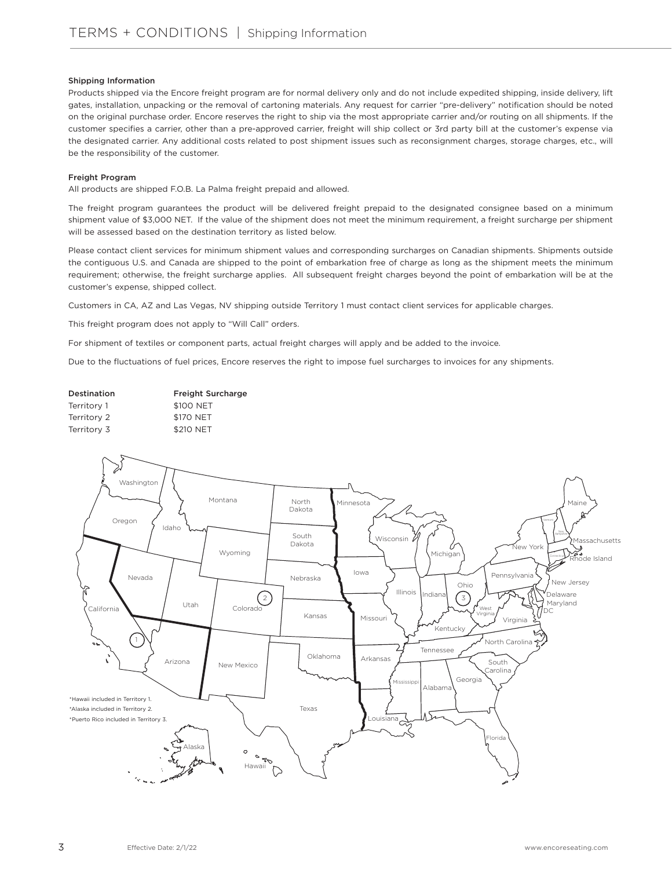## Shipping Information

Products shipped via the Encore freight program are for normal delivery only and do not include expedited shipping, inside delivery, lift gates, installation, unpacking or the removal of cartoning materials. Any request for carrier "pre-delivery" notification should be noted on the original purchase order. Encore reserves the right to ship via the most appropriate carrier and/or routing on all shipments. If the customer specifies a carrier, other than a pre-approved carrier, freight will ship collect or 3rd party bill at the customer's expense via the designated carrier. Any additional costs related to post shipment issues such as reconsignment charges, storage charges, etc., will be the responsibility of the customer.

## Freight Program

All products are shipped F.O.B. La Palma freight prepaid and allowed.

The freight program guarantees the product will be delivered freight prepaid to the designated consignee based on a minimum shipment value of \$3,000 NET. If the value of the shipment does not meet the minimum requirement, a freight surcharge per shipment will be assessed based on the destination territory as listed below.

Please contact client services for minimum shipment values and corresponding surcharges on Canadian shipments. Shipments outside the contiguous U.S. and Canada are shipped to the point of embarkation free of charge as long as the shipment meets the minimum requirement; otherwise, the freight surcharge applies. All subsequent freight charges beyond the point of embarkation will be at the customer's expense, shipped collect.

Customers in CA, AZ and Las Vegas, NV shipping outside Territory 1 must contact client services for applicable charges.

This freight program does not apply to "Will Call" orders.

For shipment of textiles or component parts, actual freight charges will apply and be added to the invoice.

Due to the fluctuations of fuel prices, Encore reserves the right to impose fuel surcharges to invoices for any shipments.

| Destination | <b>Freight Surcharge</b> |
|-------------|--------------------------|
| Territory 1 | \$100 NET                |
| Territory 2 | \$170 NET                |
| Territory 3 | \$210 NET                |
|             |                          |